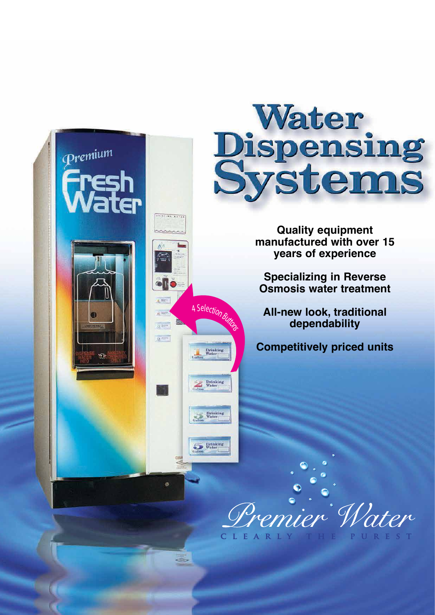

Drinkin<br>Water

Drinking<br>Water

Drinking<br>Water

Drinking<br>Water



**Quality equipment manufactured with over 15 years of experience**

**Specializing in Reverse Osmosis water treatment**

**All-new look, traditional dependability**

**Competitively priced units**